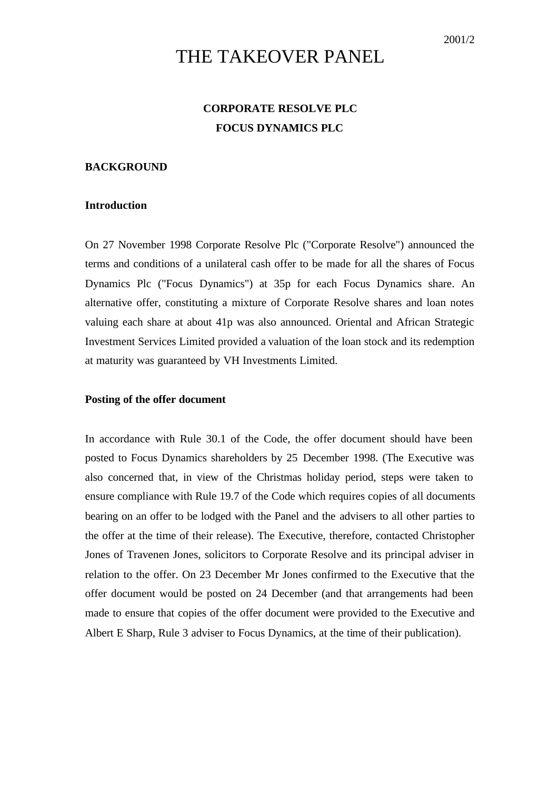# THE TAKEOVER PANEL

## **CORPORATE RESOLVE PLC FOCUS DYNAMICS PLC**

#### **BACKGROUND**

#### **Introduction**

On 27 November 1998 Corporate Resolve Plc ("Corporate Resolve") announced the terms and conditions of a unilateral cash offer to be made for all the shares of Focus Dynamics Plc ("Focus Dynamics") at 35p for each Focus Dynamics share. An alternative offer, constituting a mixture of Corporate Resolve shares and loan notes valuing each share at about 41p was also announced. Oriental and African Strategic Investment Services Limited provided a valuation of the loan stock and its redemption at maturity was guaranteed by VH Investments Limited.

#### **Posting of the offer document**

In accordance with Rule 30.1 of the Code, the offer document should have been posted to Focus Dynamics shareholders by 25 December 1998. (The Executive was also concerned that, in view of the Christmas holiday period, steps were taken to ensure compliance with Rule 19.7 of the Code which requires copies of all documents bearing on an offer to be lodged with the Panel and the advisers to all other parties to the offer at the time of their release). The Executive, therefore, contacted Christopher Jones of Travenen Jones, solicitors to Corporate Resolve and its principal adviser in relation to the offer. On 23 December Mr Jones confirmed to the Executive that the offer document would be posted on 24 December (and that arrangements had been made to ensure that copies of the offer document were provided to the Executive and Albert E Sharp, Rule 3 adviser to Focus Dynamics, at the time of their publication).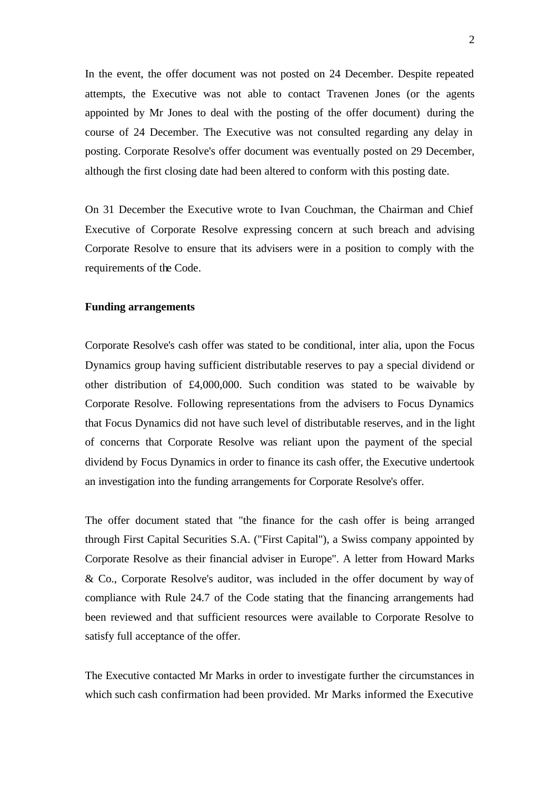In the event, the offer document was not posted on 24 December. Despite repeated attempts, the Executive was not able to contact Travenen Jones (or the agents appointed by Mr Jones to deal with the posting of the offer document) during the course of 24 December. The Executive was not consulted regarding any delay in posting. Corporate Resolve's offer document was eventually posted on 29 December, although the first closing date had been altered to conform with this posting date.

On 31 December the Executive wrote to Ivan Couchman, the Chairman and Chief Executive of Corporate Resolve expressing concern at such breach and advising Corporate Resolve to ensure that its advisers were in a position to comply with the requirements of the Code.

#### **Funding arrangements**

Corporate Resolve's cash offer was stated to be conditional, inter alia, upon the Focus Dynamics group having sufficient distributable reserves to pay a special dividend or other distribution of £4,000,000. Such condition was stated to be waivable by Corporate Resolve. Following representations from the advisers to Focus Dynamics that Focus Dynamics did not have such level of distributable reserves, and in the light of concerns that Corporate Resolve was reliant upon the payment of the special dividend by Focus Dynamics in order to finance its cash offer, the Executive undertook an investigation into the funding arrangements for Corporate Resolve's offer.

The offer document stated that "the finance for the cash offer is being arranged through First Capital Securities S.A. ("First Capital"), a Swiss company appointed by Corporate Resolve as their financial adviser in Europe". A letter from Howard Marks & Co., Corporate Resolve's auditor, was included in the offer document by way of compliance with Rule 24.7 of the Code stating that the financing arrangements had been reviewed and that sufficient resources were available to Corporate Resolve to satisfy full acceptance of the offer.

The Executive contacted Mr Marks in order to investigate further the circumstances in which such cash confirmation had been provided. Mr Marks informed the Executive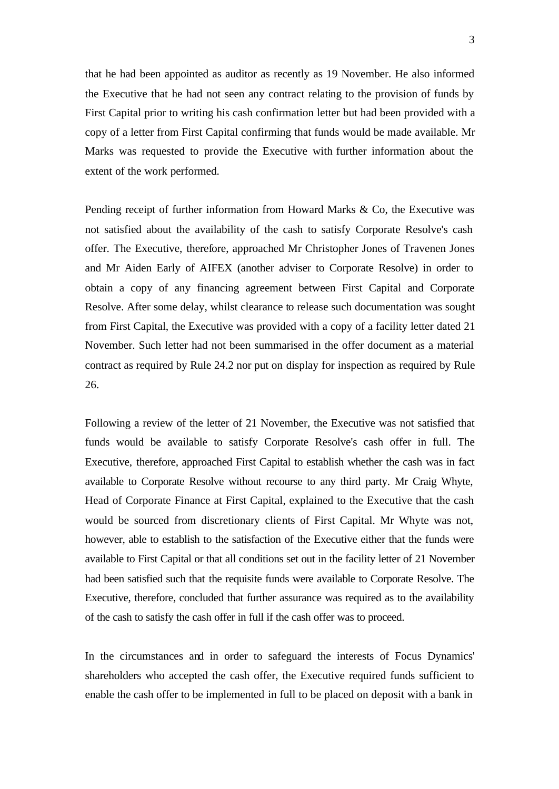that he had been appointed as auditor as recently as 19 November. He also informed the Executive that he had not seen any contract relating to the provision of funds by First Capital prior to writing his cash confirmation letter but had been provided with a copy of a letter from First Capital confirming that funds would be made available. Mr Marks was requested to provide the Executive with further information about the extent of the work performed.

Pending receipt of further information from Howard Marks & Co, the Executive was not satisfied about the availability of the cash to satisfy Corporate Resolve's cash offer. The Executive, therefore, approached Mr Christopher Jones of Travenen Jones and Mr Aiden Early of AIFEX (another adviser to Corporate Resolve) in order to obtain a copy of any financing agreement between First Capital and Corporate Resolve. After some delay, whilst clearance to release such documentation was sought from First Capital, the Executive was provided with a copy of a facility letter dated 21 November. Such letter had not been summarised in the offer document as a material contract as required by Rule 24.2 nor put on display for inspection as required by Rule 26.

Following a review of the letter of 21 November, the Executive was not satisfied that funds would be available to satisfy Corporate Resolve's cash offer in full. The Executive, therefore, approached First Capital to establish whether the cash was in fact available to Corporate Resolve without recourse to any third party. Mr Craig Whyte, Head of Corporate Finance at First Capital, explained to the Executive that the cash would be sourced from discretionary clients of First Capital. Mr Whyte was not, however, able to establish to the satisfaction of the Executive either that the funds were available to First Capital or that all conditions set out in the facility letter of 21 November had been satisfied such that the requisite funds were available to Corporate Resolve. The Executive, therefore, concluded that further assurance was required as to the availability of the cash to satisfy the cash offer in full if the cash offer was to proceed.

In the circumstances and in order to safeguard the interests of Focus Dynamics' shareholders who accepted the cash offer, the Executive required funds sufficient to enable the cash offer to be implemented in full to be placed on deposit with a bank in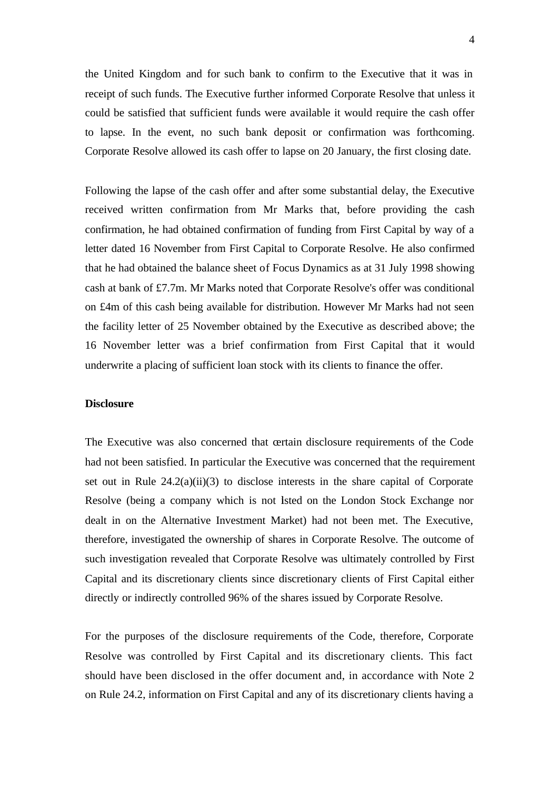the United Kingdom and for such bank to confirm to the Executive that it was in receipt of such funds. The Executive further informed Corporate Resolve that unless it could be satisfied that sufficient funds were available it would require the cash offer to lapse. In the event, no such bank deposit or confirmation was forthcoming. Corporate Resolve allowed its cash offer to lapse on 20 January, the first closing date.

Following the lapse of the cash offer and after some substantial delay, the Executive received written confirmation from Mr Marks that, before providing the cash confirmation, he had obtained confirmation of funding from First Capital by way of a letter dated 16 November from First Capital to Corporate Resolve. He also confirmed that he had obtained the balance sheet of Focus Dynamics as at 31 July 1998 showing cash at bank of £7.7m. Mr Marks noted that Corporate Resolve's offer was conditional on £4m of this cash being available for distribution. However Mr Marks had not seen the facility letter of 25 November obtained by the Executive as described above; the 16 November letter was a brief confirmation from First Capital that it would underwrite a placing of sufficient loan stock with its clients to finance the offer.

#### **Disclosure**

The Executive was also concerned that certain disclosure requirements of the Code had not been satisfied. In particular the Executive was concerned that the requirement set out in Rule  $24.2(a)(ii)(3)$  to disclose interests in the share capital of Corporate Resolve (being a company which is not listed on the London Stock Exchange nor dealt in on the Alternative Investment Market) had not been met. The Executive, therefore, investigated the ownership of shares in Corporate Resolve. The outcome of such investigation revealed that Corporate Resolve was ultimately controlled by First Capital and its discretionary clients since discretionary clients of First Capital either directly or indirectly controlled 96% of the shares issued by Corporate Resolve.

For the purposes of the disclosure requirements of the Code, therefore, Corporate Resolve was controlled by First Capital and its discretionary clients. This fact should have been disclosed in the offer document and, in accordance with Note 2 on Rule 24.2, information on First Capital and any of its discretionary clients having a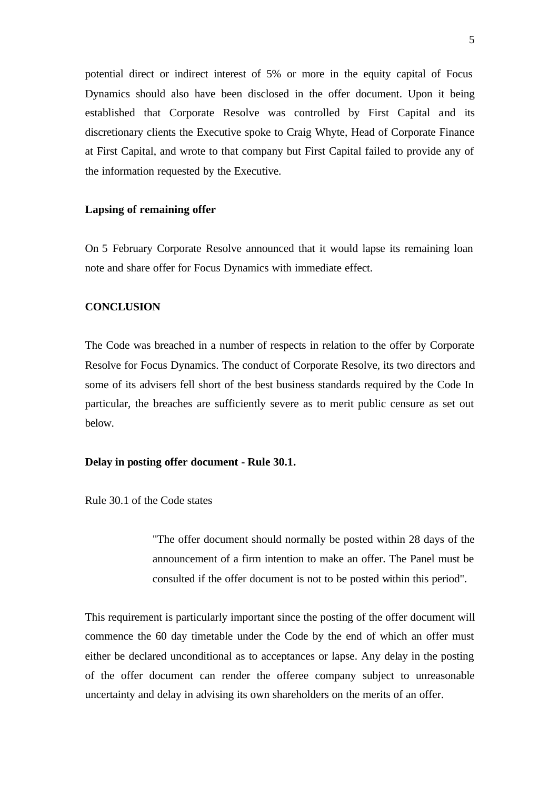potential direct or indirect interest of 5% or more in the equity capital of Focus Dynamics should also have been disclosed in the offer document. Upon it being established that Corporate Resolve was controlled by First Capital and its discretionary clients the Executive spoke to Craig Whyte, Head of Corporate Finance at First Capital, and wrote to that company but First Capital failed to provide any of the information requested by the Executive.

#### **Lapsing of remaining offer**

On 5 February Corporate Resolve announced that it would lapse its remaining loan note and share offer for Focus Dynamics with immediate effect.

#### **CONCLUSION**

The Code was breached in a number of respects in relation to the offer by Corporate Resolve for Focus Dynamics. The conduct of Corporate Resolve, its two directors and some of its advisers fell short of the best business standards required by the Code In particular, the breaches are sufficiently severe as to merit public censure as set out below.

#### **Delay in posting offer document - Rule 30.1.**

Rule 30.1 of the Code states

"The offer document should normally be posted within 28 days of the announcement of a firm intention to make an offer. The Panel must be consulted if the offer document is not to be posted within this period".

This requirement is particularly important since the posting of the offer document will commence the 60 day timetable under the Code by the end of which an offer must either be declared unconditional as to acceptances or lapse. Any delay in the posting of the offer document can render the offeree company subject to unreasonable uncertainty and delay in advising its own shareholders on the merits of an offer.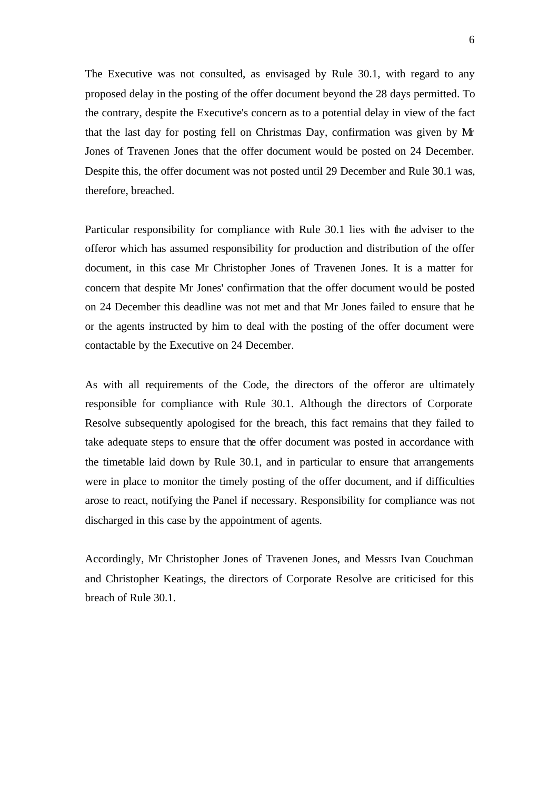The Executive was not consulted, as envisaged by Rule 30.1, with regard to any proposed delay in the posting of the offer document beyond the 28 days permitted. To the contrary, despite the Executive's concern as to a potential delay in view of the fact that the last day for posting fell on Christmas Day, confirmation was given by Mr Jones of Travenen Jones that the offer document would be posted on 24 December. Despite this, the offer document was not posted until 29 December and Rule 30.1 was, therefore, breached.

Particular responsibility for compliance with Rule 30.1 lies with the adviser to the offeror which has assumed responsibility for production and distribution of the offer document, in this case Mr Christopher Jones of Travenen Jones. It is a matter for concern that despite Mr Jones' confirmation that the offer document would be posted on 24 December this deadline was not met and that Mr Jones failed to ensure that he or the agents instructed by him to deal with the posting of the offer document were contactable by the Executive on 24 December.

As with all requirements of the Code, the directors of the offeror are ultimately responsible for compliance with Rule 30.1. Although the directors of Corporate Resolve subsequently apologised for the breach, this fact remains that they failed to take adequate steps to ensure that the offer document was posted in accordance with the timetable laid down by Rule 30.1, and in particular to ensure that arrangements were in place to monitor the timely posting of the offer document, and if difficulties arose to react, notifying the Panel if necessary. Responsibility for compliance was not discharged in this case by the appointment of agents.

Accordingly, Mr Christopher Jones of Travenen Jones, and Messrs Ivan Couchman and Christopher Keatings, the directors of Corporate Resolve are criticised for this breach of Rule 30.1.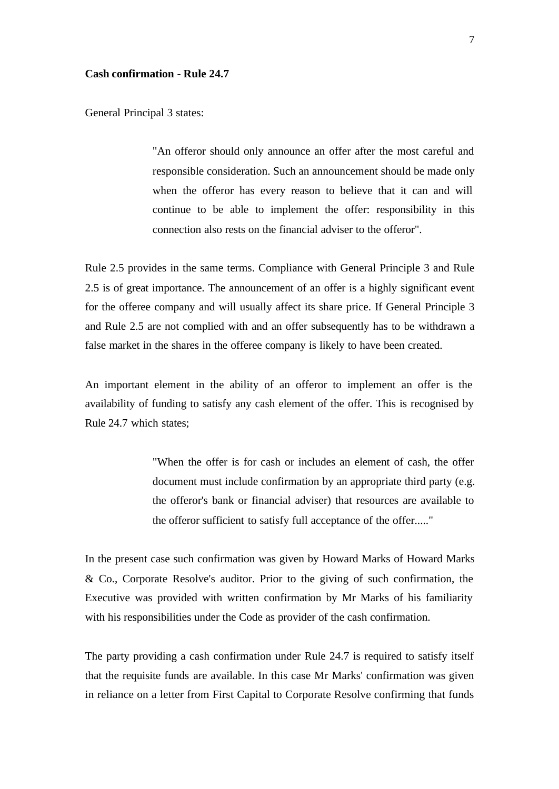#### **Cash confirmation - Rule 24.7**

General Principal 3 states:

"An offeror should only announce an offer after the most careful and responsible consideration. Such an announcement should be made only when the offeror has every reason to believe that it can and will continue to be able to implement the offer: responsibility in this connection also rests on the financial adviser to the offeror".

Rule 2.5 provides in the same terms. Compliance with General Principle 3 and Rule 2.5 is of great importance. The announcement of an offer is a highly significant event for the offeree company and will usually affect its share price. If General Principle 3 and Rule 2.5 are not complied with and an offer subsequently has to be withdrawn a false market in the shares in the offeree company is likely to have been created.

An important element in the ability of an offeror to implement an offer is the availability of funding to satisfy any cash element of the offer. This is recognised by Rule 24.7 which states;

> "When the offer is for cash or includes an element of cash, the offer document must include confirmation by an appropriate third party (e.g. the offeror's bank or financial adviser) that resources are available to the offeror sufficient to satisfy full acceptance of the offer....."

In the present case such confirmation was given by Howard Marks of Howard Marks & Co., Corporate Resolve's auditor. Prior to the giving of such confirmation, the Executive was provided with written confirmation by Mr Marks of his familiarity with his responsibilities under the Code as provider of the cash confirmation.

The party providing a cash confirmation under Rule 24.7 is required to satisfy itself that the requisite funds are available. In this case Mr Marks' confirmation was given in reliance on a letter from First Capital to Corporate Resolve confirming that funds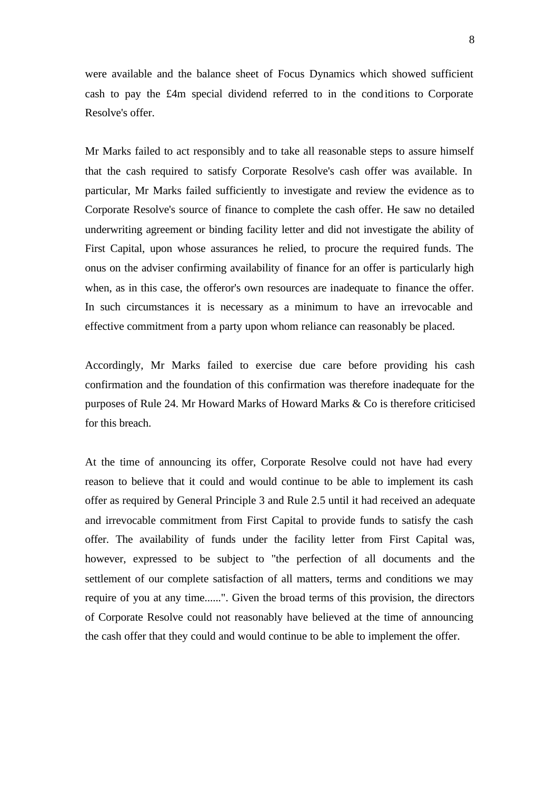were available and the balance sheet of Focus Dynamics which showed sufficient cash to pay the £4m special dividend referred to in the conditions to Corporate Resolve's offer.

Mr Marks failed to act responsibly and to take all reasonable steps to assure himself that the cash required to satisfy Corporate Resolve's cash offer was available. In particular, Mr Marks failed sufficiently to investigate and review the evidence as to Corporate Resolve's source of finance to complete the cash offer. He saw no detailed underwriting agreement or binding facility letter and did not investigate the ability of First Capital, upon whose assurances he relied, to procure the required funds. The onus on the adviser confirming availability of finance for an offer is particularly high when, as in this case, the offeror's own resources are inadequate to finance the offer. In such circumstances it is necessary as a minimum to have an irrevocable and effective commitment from a party upon whom reliance can reasonably be placed.

Accordingly, Mr Marks failed to exercise due care before providing his cash confirmation and the foundation of this confirmation was therefore inadequate for the purposes of Rule 24. Mr Howard Marks of Howard Marks & Co is therefore criticised for this breach.

At the time of announcing its offer, Corporate Resolve could not have had every reason to believe that it could and would continue to be able to implement its cash offer as required by General Principle 3 and Rule 2.5 until it had received an adequate and irrevocable commitment from First Capital to provide funds to satisfy the cash offer. The availability of funds under the facility letter from First Capital was, however, expressed to be subject to "the perfection of all documents and the settlement of our complete satisfaction of all matters, terms and conditions we may require of you at any time......". Given the broad terms of this provision, the directors of Corporate Resolve could not reasonably have believed at the time of announcing the cash offer that they could and would continue to be able to implement the offer.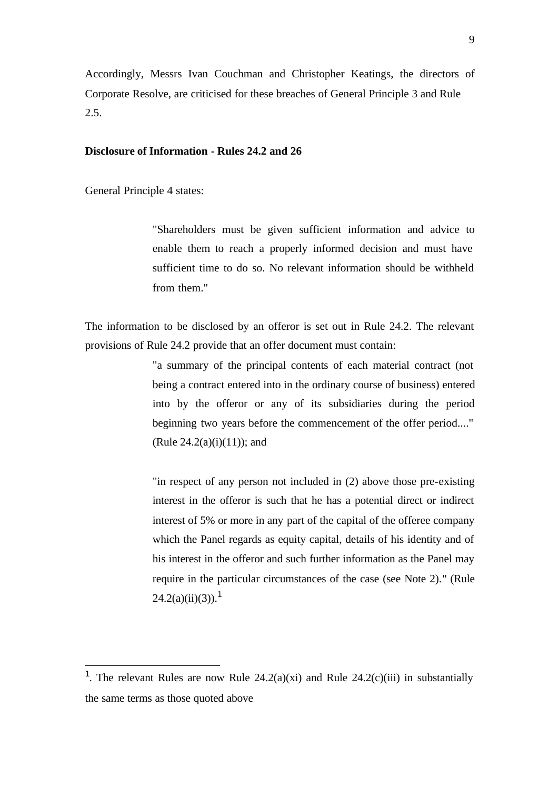Accordingly, Messrs Ivan Couchman and Christopher Keatings, the directors of Corporate Resolve, are criticised for these breaches of General Principle 3 and Rule 2.5.

### **Disclosure of Information - Rules 24.2 and 26**

General Principle 4 states:

l

"Shareholders must be given sufficient information and advice to enable them to reach a properly informed decision and must have sufficient time to do so. No relevant information should be withheld from them."

The information to be disclosed by an offeror is set out in Rule 24.2. The relevant provisions of Rule 24.2 provide that an offer document must contain:

> "a summary of the principal contents of each material contract (not being a contract entered into in the ordinary course of business) entered into by the offeror or any of its subsidiaries during the period beginning two years before the commencement of the offer period...."  $(Rule 24.2(a)(i)(11)); and$

> "in respect of any person not included in (2) above those pre-existing interest in the offeror is such that he has a potential direct or indirect interest of 5% or more in any part of the capital of the offeree company which the Panel regards as equity capital, details of his identity and of his interest in the offeror and such further information as the Panel may require in the particular circumstances of the case (see Note 2)." (Rule  $24.2(a)(ii)(3)$ .<sup>1</sup>

<sup>&</sup>lt;sup>1</sup>. The relevant Rules are now Rule  $24.2(a)(xi)$  and Rule  $24.2(c)(iii)$  in substantially the same terms as those quoted above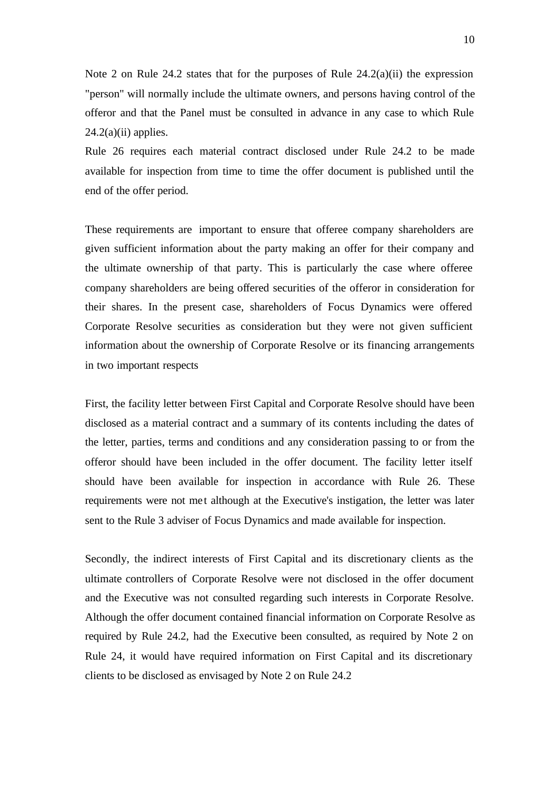Note 2 on Rule 24.2 states that for the purposes of Rule  $24.2(a)(ii)$  the expression "person" will normally include the ultimate owners, and persons having control of the offeror and that the Panel must be consulted in advance in any case to which Rule  $24.2(a)(ii)$  applies.

Rule 26 requires each material contract disclosed under Rule 24.2 to be made available for inspection from time to time the offer document is published until the end of the offer period.

These requirements are important to ensure that offeree company shareholders are given sufficient information about the party making an offer for their company and the ultimate ownership of that party. This is particularly the case where offeree company shareholders are being offered securities of the offeror in consideration for their shares. In the present case, shareholders of Focus Dynamics were offered Corporate Resolve securities as consideration but they were not given sufficient information about the ownership of Corporate Resolve or its financing arrangements in two important respects

First, the facility letter between First Capital and Corporate Resolve should have been disclosed as a material contract and a summary of its contents including the dates of the letter, parties, terms and conditions and any consideration passing to or from the offeror should have been included in the offer document. The facility letter itself should have been available for inspection in accordance with Rule 26. These requirements were not met although at the Executive's instigation, the letter was later sent to the Rule 3 adviser of Focus Dynamics and made available for inspection.

Secondly, the indirect interests of First Capital and its discretionary clients as the ultimate controllers of Corporate Resolve were not disclosed in the offer document and the Executive was not consulted regarding such interests in Corporate Resolve. Although the offer document contained financial information on Corporate Resolve as required by Rule 24.2, had the Executive been consulted, as required by Note 2 on Rule 24, it would have required information on First Capital and its discretionary clients to be disclosed as envisaged by Note 2 on Rule 24.2